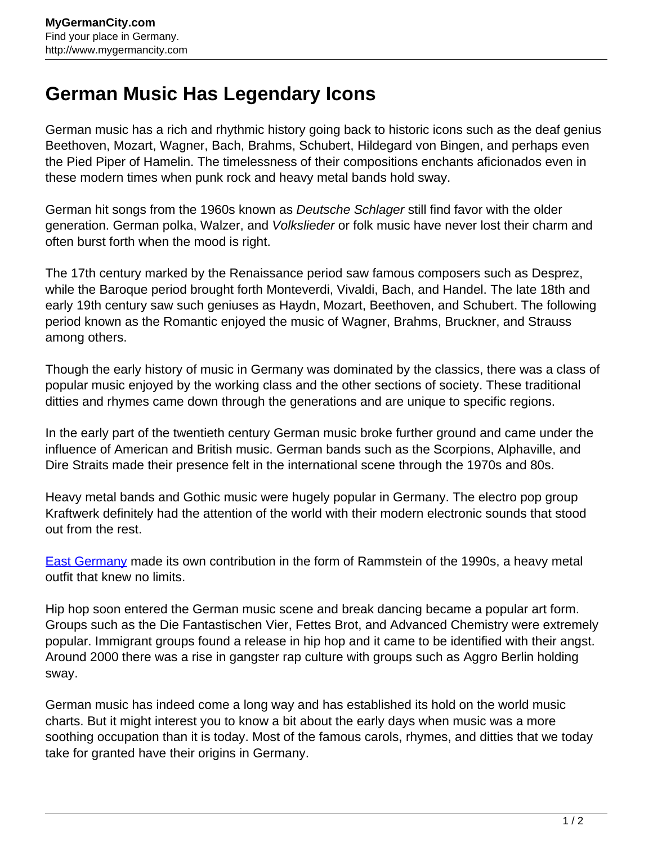## **German Music Has Legendary Icons**

German music has a rich and rhythmic history going back to historic icons such as the deaf genius Beethoven, Mozart, Wagner, Bach, Brahms, Schubert, Hildegard von Bingen, and perhaps even the Pied Piper of Hamelin. The timelessness of their compositions enchants aficionados even in these modern times when punk rock and heavy metal bands hold sway.

German hit songs from the 1960s known as Deutsche Schlager still find favor with the older generation. German polka, Walzer, and Volkslieder or folk music have never lost their charm and often burst forth when the mood is right.

The 17th century marked by the Renaissance period saw famous composers such as Desprez, while the Baroque period brought forth Monteverdi, Vivaldi, Bach, and Handel. The late 18th and early 19th century saw such geniuses as Haydn, Mozart, Beethoven, and Schubert. The following period known as the Romantic enjoyed the music of Wagner, Brahms, Bruckner, and Strauss among others.

Though the early history of music in Germany was dominated by the classics, there was a class of popular music enjoyed by the working class and the other sections of society. These traditional ditties and rhymes came down through the generations and are unique to specific regions.

In the early part of the twentieth century German music broke further ground and came under the influence of American and British music. German bands such as the Scorpions, Alphaville, and Dire Straits made their presence felt in the international scene through the 1970s and 80s.

Heavy metal bands and Gothic music were hugely popular in Germany. The electro pop group Kraftwerk definitely had the attention of the world with their modern electronic sounds that stood out from the rest.

**[East Germany](http://www.mygermancity.com/east-germany)** made its own contribution in the form of Rammstein of the 1990s, a heavy metal outfit that knew no limits.

Hip hop soon entered the German music scene and break dancing became a popular art form. Groups such as the Die Fantastischen Vier, Fettes Brot, and Advanced Chemistry were extremely popular. Immigrant groups found a release in hip hop and it came to be identified with their angst. Around 2000 there was a rise in gangster rap culture with groups such as Aggro Berlin holding sway.

German music has indeed come a long way and has established its hold on the world music charts. But it might interest you to know a bit about the early days when music was a more soothing occupation than it is today. Most of the famous carols, rhymes, and ditties that we today take for granted have their origins in Germany.